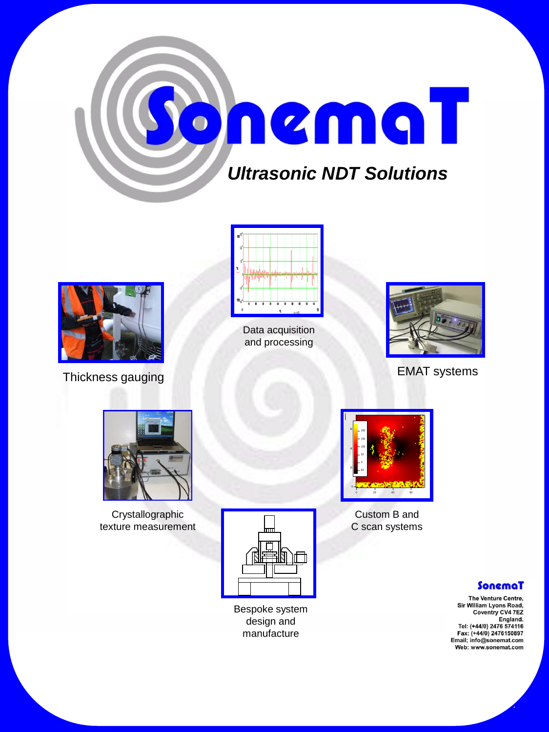



Thickness gauging **EMAT** systems



Data acquisition and processing





Crystallographic texture measurement



Custom B and C scan systems

#### SonemaT

The Venture Centre, Sir William Lyons Road, Coventry CV4 7EZ England.<br>Tel: (+44/0) 2476 574116<br>Fax: (+44/0) 2476150897<br>Email; info@sonemat.com Web: www.sonemat.com



Bespoke system design and manufacture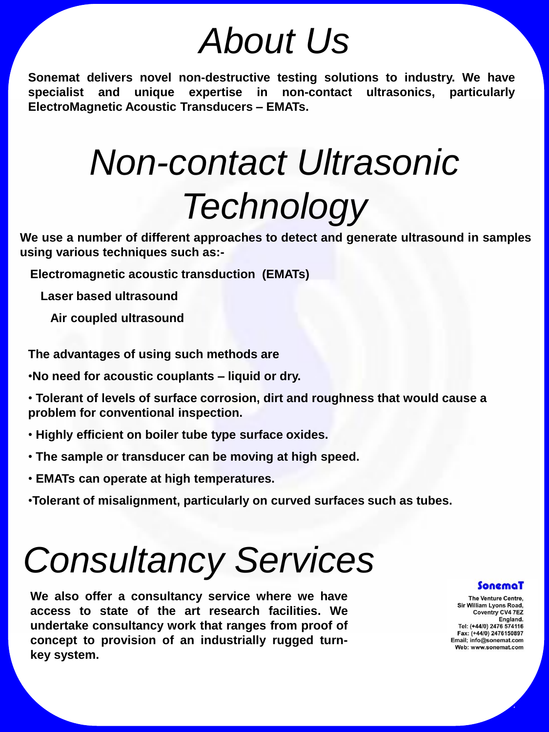### *About Us*

**Sonemat delivers novel non-destructive testing solutions to industry. We have specialist and unique expertise in non-contact ultrasonics, particularly ElectroMagnetic Acoustic Transducers – EMATs.**

### *Non-contact Ultrasonic Technology*

**We use a number of different approaches to detect and generate ultrasound in samples using various techniques such as:-**

 **Electromagnetic acoustic transduction (EMATs)**

 **Laser based ultrasound**

 **Air coupled ultrasound**

**The advantages of using such methods are**

•**No need for acoustic couplants – liquid or dry.**

• **Tolerant of levels of surface corrosion, dirt and roughness that would cause a problem for conventional inspection.**

- **Highly efficient on boiler tube type surface oxides.**
- **The sample or transducer can be moving at high speed.**
- **EMATs can operate at high temperatures.**
- •**Tolerant of misalignment, particularly on curved surfaces such as tubes.**

### *Consultancy Services*

**We also offer a consultancy service where we have access to state of the art research facilities. We undertake consultancy work that ranges from proof of concept to provision of an industrially rugged turnkey system.**

#### SonemaT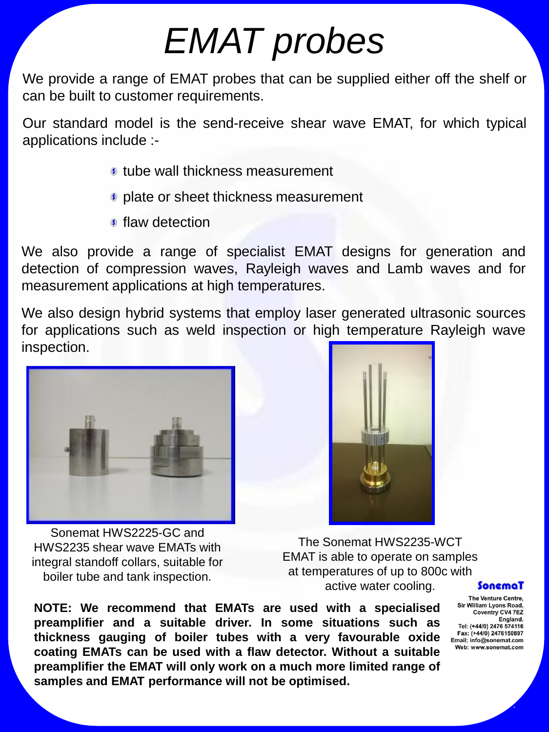## *EMAT probes*

We provide a range of EMAT probes that can be supplied either off the shelf or can be built to customer requirements.

Our standard model is the send-receive shear wave EMAT, for which typical applications include :-

- tube wall thickness measurement
- **plate or sheet thickness measurement**
- **flaw detection**

We also provide a range of specialist EMAT designs for generation and detection of compression waves, Rayleigh waves and Lamb waves and for measurement applications at high temperatures.

We also design hybrid systems that employ laser generated ultrasonic sources for applications such as weld inspection or high temperature Rayleigh wave inspection.



Sonemat HWS2225-GC and HWS2235 shear wave EMATs with integral standoff collars, suitable for boiler tube and tank inspection.



The Sonemat HWS2235-WCT EMAT is able to operate on samples at temperatures of up to 800c with active water cooling.

**NOTE: We recommend that EMATs are used with a specialised preamplifier and a suitable driver. In some situations such as thickness gauging of boiler tubes with a very favourable oxide coating EMATs can be used with a flaw detector. Without a suitable preamplifier the EMAT will only work on a much more limited range of samples and EMAT performance will not be optimised.**

#### SonemaT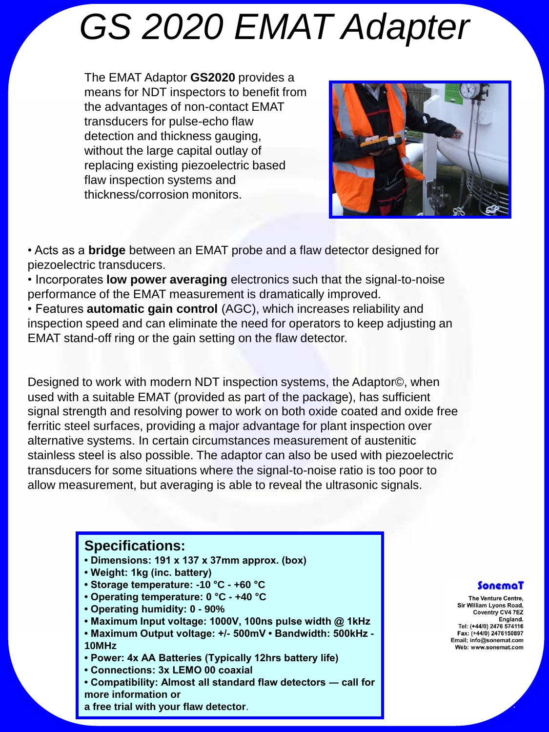### *GS 2020 EMAT Adapter*

The EMAT Adaptor **GS2020** provides a means for NDT inspectors to benefit from the advantages of non-contact EMAT transducers for pulse-echo flaw detection and thickness gauging, without the large capital outlay of replacing existing piezoelectric based flaw inspection systems and thickness/corrosion monitors.



• Acts as a **bridge** between an EMAT probe and a flaw detector designed for piezoelectric transducers.

• Incorporates **low power averaging** electronics such that the signal-to-noise performance of the EMAT measurement is dramatically improved.

• Features **automatic gain control** (AGC), which increases reliability and inspection speed and can eliminate the need for operators to keep adjusting an EMAT stand-off ring or the gain setting on the flaw detector.

Designed to work with modern NDT inspection systems, the Adaptor©, when used with a suitable EMAT (provided as part of the package), has sufficient signal strength and resolving power to work on both oxide coated and oxide free ferritic steel surfaces, providing a major advantage for plant inspection over alternative systems. In certain circumstances measurement of austenitic stainless steel is also possible. The adaptor can also be used with piezoelectric transducers for some situations where the signal-to-noise ratio is too poor to allow measurement, but averaging is able to reveal the ultrasonic signals.

#### **Specifications:**

- **Dimensions: 191 x 137 x 37mm approx. (box)**
- **Weight: 1kg (inc. battery)**
- **Storage temperature: -10 °C - +60 °C**
- **Operating temperature: 0 °C - +40 °C**
- **Operating humidity: 0 - 90%**
- **Maximum Input voltage: 1000V, 100ns pulse width @ 1kHz**
- **Maximum Output voltage: +/- 500mV Bandwidth: 500kHz - 10MHz**
- **Power: 4x AA Batteries (Typically 12hrs battery life)**
- **Connections: 3x LEMO 00 coaxial**
- **Compatibility: Almost all standard flaw detectors ― call for more information or**
- **a free trial with your flaw detector**.

#### SonemaT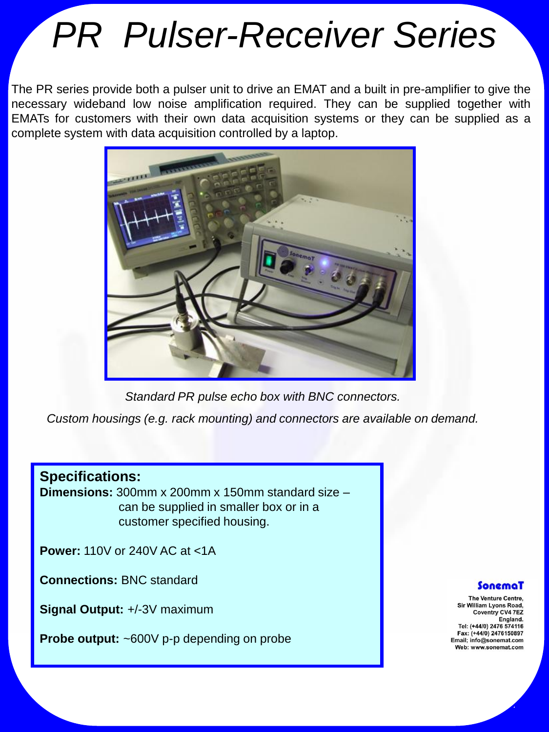## *PR Pulser-Receiver Series*

The PR series provide both a pulser unit to drive an EMAT and a built in pre-amplifier to give the necessary wideband low noise amplification required. They can be supplied together with EMATs for customers with their own data acquisition systems or they can be supplied as a complete system with data acquisition controlled by a laptop.



*Standard PR pulse echo box with BNC connectors.* 

*Custom housings (e.g. rack mounting) and connectors are available on demand.*

#### **Specifications:**

**Dimensions:** 300mm x 200mm x 150mm standard size – can be supplied in smaller box or in a customer specified housing.

**Power:** 110V or 240V AC at <1A

**Connections:** BNC standard

**Signal Output:** +/-3V maximum

**Probe output:** ~600V p-p depending on probe

#### SonemaT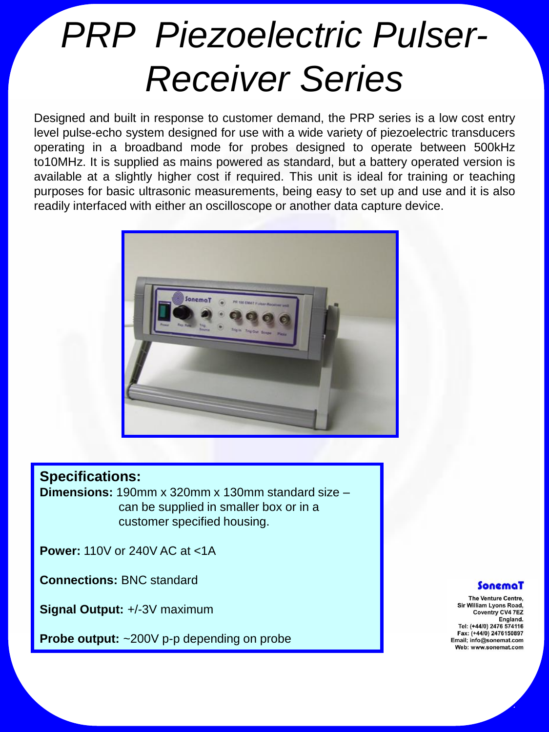## *PRP Piezoelectric Pulser-Receiver Series*

Designed and built in response to customer demand, the PRP series is a low cost entry level pulse-echo system designed for use with a wide variety of piezoelectric transducers operating in a broadband mode for probes designed to operate between 500kHz to10MHz. It is supplied as mains powered as standard, but a battery operated version is available at a slightly higher cost if required. This unit is ideal for training or teaching purposes for basic ultrasonic measurements, being easy to set up and use and it is also readily interfaced with either an oscilloscope or another data capture device.



#### **Specifications:**

**Dimensions:** 190mm x 320mm x 130mm standard size – can be supplied in smaller box or in a customer specified housing.

**Power:** 110V or 240V AC at <1A

**Connections:** BNC standard

**Signal Output:** +/-3V maximum

**Probe output:** ~200V p-p depending on probe

#### SonemaT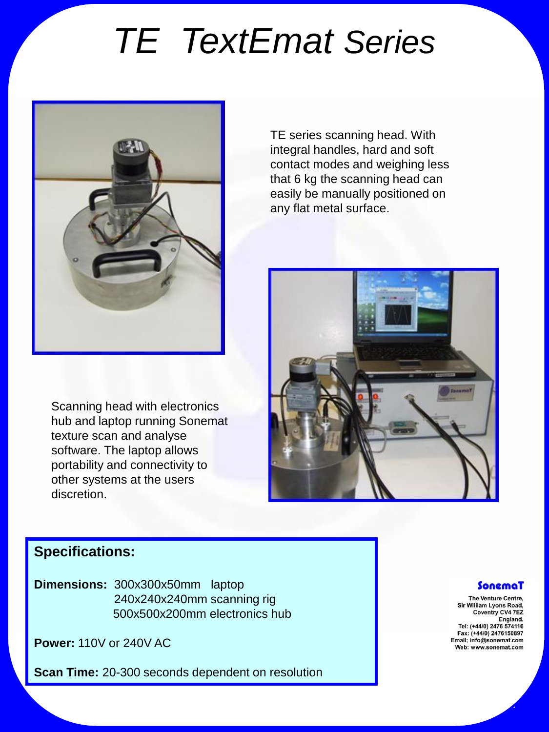## *TE TextEmat Series*



Scanning head with electronics hub and laptop running Sonemat texture scan and analyse software. The laptop allows portability and connectivity to other systems at the users discretion.

TE series scanning head. With integral handles, hard and soft contact modes and weighing less that 6 kg the scanning head can easily be manually positioned on any flat metal surface.



### **Specifications:**

**Dimensions:** 300x300x50mmlaptop 240x240x240mm scanning rig 500x500x200mm electronics hub

**Power:** 110V or 240V AC

**Scan Time:** 20-300 seconds dependent on resolution

#### SonemaT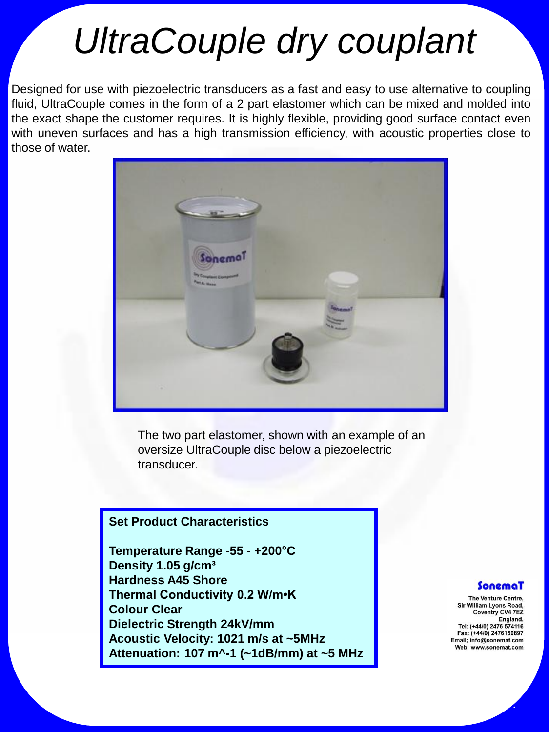### *UltraCouple dry couplant*

Designed for use with piezoelectric transducers as a fast and easy to use alternative to coupling fluid, UltraCouple comes in the form of a 2 part elastomer which can be mixed and molded into the exact shape the customer requires. It is highly flexible, providing good surface contact even with uneven surfaces and has a high transmission efficiency, with acoustic properties close to those of water.



The two part elastomer, shown with an example of an oversize UltraCouple disc below a piezoelectric transducer.

#### **Set Product Characteristics**

**Temperature Range -55 - +200°C Density 1.05 g/cm³ Hardness A45 Shore Thermal Conductivity 0.2 W/m•K Colour Clear Dielectric Strength 24kV/mm Acoustic Velocity: 1021 m/s at ~5MHz Attenuation: 107 m^-1 (~1dB/mm) at ~5 MHz**

#### SonemaT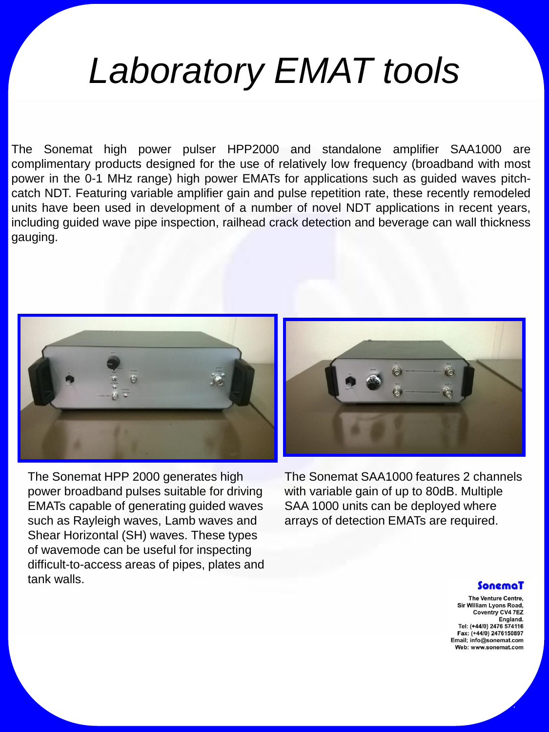### *Laboratory EMAT tools*

The Sonemat high power pulser HPP2000 and standalone amplifier SAA1000 are complimentary products designed for the use of relatively low frequency (broadband with most power in the 0-1 MHz range) high power EMATs for applications such as guided waves pitchcatch NDT. Featuring variable amplifier gain and pulse repetition rate, these recently remodeled units have been used in development of a number of novel NDT applications in recent years, including guided wave pipe inspection, railhead crack detection and beverage can wall thickness gauging.



The Sonemat HPP 2000 generates high power broadband pulses suitable for driving EMATs capable of generating guided waves such as Rayleigh waves, Lamb waves and Shear Horizontal (SH) waves. These types of wavemode can be useful for inspecting difficult-to-access areas of pipes, plates and tank walls.

The Sonemat SAA1000 features 2 channels with variable gain of up to 80dB. Multiple SAA 1000 units can be deployed where arrays of detection EMATs are required.

#### SonemaT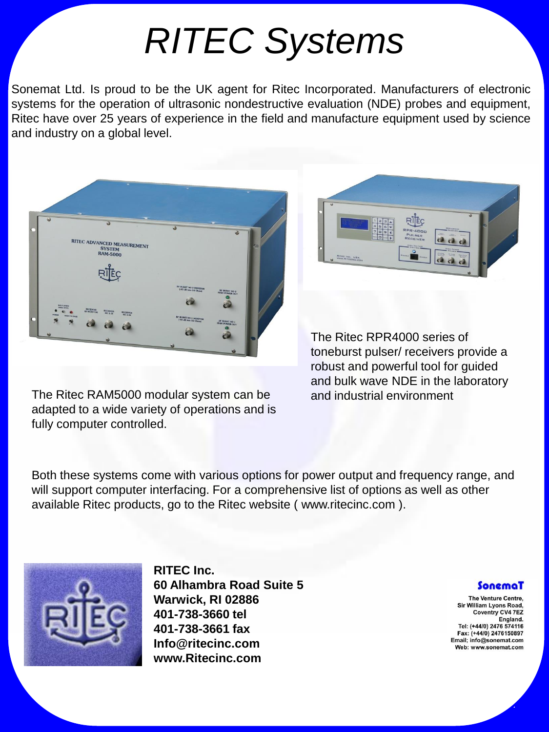# *RITEC Systems*

Sonemat Ltd. Is proud to be the UK agent for Ritec Incorporated. Manufacturers of electronic systems for the operation of ultrasonic nondestructive evaluation (NDE) probes and equipment, Ritec have over 25 years of experience in the field and manufacture equipment used by science and industry on a global level.



The Ritec RAM5000 modular system can be and industrial environment adapted to a wide variety of operations and is fully computer controlled.



The Ritec RPR4000 series of toneburst pulser/ receivers provide a robust and powerful tool for guided and bulk wave NDE in the laboratory

Both these systems come with various options for power output and frequency range, and will support computer interfacing. For a comprehensive list of options as well as other available Ritec products, go to the Ritec website ( www.ritecinc.com ).



**RITEC Inc. 60 Alhambra Road Suite 5 Warwick, RI 02886 401-738-3660 tel 401-738-3661 fax Info@ritecinc.com www.Ritecinc.com**

#### SonemaT